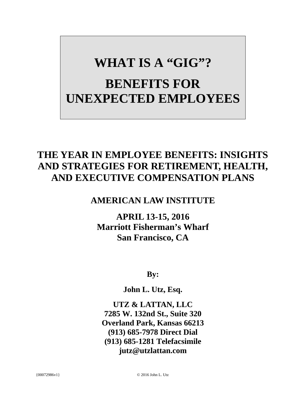# **WHAT IS A "GIG"? BENEFITS FOR UNEXPECTED EMPLOYEES**

# **THE YEAR IN EMPLOYEE BENEFITS: INSIGHTS AND STRATEGIES FOR RETIREMENT, HEALTH, AND EXECUTIVE COMPENSATION PLANS**

# **AMERICAN LAW INSTITUTE**

**APRIL 13-15, 2016 Marriott Fisherman's Wharf San Francisco, CA**

**By:**

**John L. Utz, Esq.** 

**UTZ & LATTAN, LLC 7285 W. 132nd St., Suite 320 Overland Park, Kansas 66213 (913) 685-7978 Direct Dial (913) 685-1281 Telefacsimile jutz@utzlattan.com**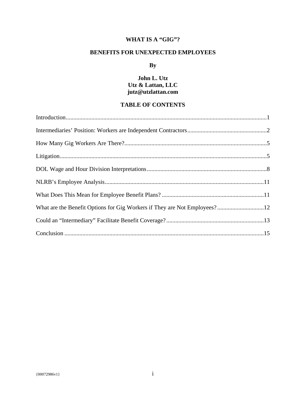# **WHAT IS A "GIG"?**

# **BENEFITS FOR UNEXPECTED EMPLOYEES**

# **By**

# **John L. Utz Utz & Lattan, LLC jutz@utzlattan.com**

# **TABLE OF CONTENTS**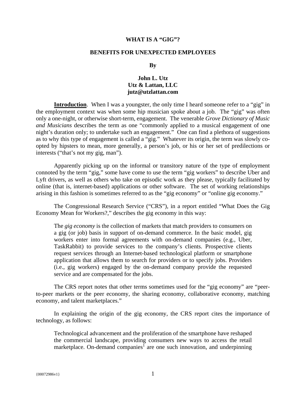#### **WHAT IS A "GIG"?**

#### **BENEFITS FOR UNEXPECTED EMPLOYEES**

#### **By**

## **John L. Utz Utz & Lattan, LLC jutz@utzlattan.com**

**Introduction**. When I was a youngster, the only time I heard someone refer to a "gig" in the employment context was when some hip musician spoke about a job. The "gig" was often only a one-night, or otherwise short-term, engagement. The venerable *Grove Dictionary of Music and Musicians* describes the term as one "commonly applied to a musical engagement of one night's duration only; to undertake such an engagement." One can find a plethora of suggestions as to why this type of engagement is called a "gig." Whatever its origin, the term was slowly coopted by hipsters to mean, more generally, a person's job, or his or her set of predilections or interests ("that's not my gig, man").

Apparently picking up on the informal or transitory nature of the type of employment connoted by the term "gig," some have come to use the term "gig workers" to describe Uber and Lyft drivers, as well as others who take on episodic work as they please, typically facilitated by online (that is, internet-based) applications or other software. The set of working relationships arising in this fashion is sometimes referred to as the "gig economy" or "online gig economy."

The Congressional Research Service ("CRS"), in a report entitled "What Does the Gig Economy Mean for Workers?," describes the gig economy in this way:

The *gig economy* is the collection of markets that match providers to consumers on a gig (or job) basis in support of on-demand commerce. In the basic model, gig workers enter into formal agreements with on-demand companies (e.g., Uber, TaskRabbit) to provide services to the company's clients. Prospective clients request services through an Internet-based technological platform or smartphone application that allows them to search for providers or to specify jobs. Providers (i.e., gig workers) engaged by the on-demand company provide the requested service and are compensated for the jobs.

The CRS report notes that other terms sometimes used for the "gig economy" are "peerto-peer markets or the peer economy, the sharing economy, collaborative economy, matching economy, and talent marketplaces."

In explaining the origin of the gig economy, the CRS report cites the importance of technology, as follows:

Technological advancement and the proliferation of the smartphone have reshaped the commercial landscape, providing consumers new ways to access the retail marketplace. On-demand companies<sup>1</sup> are one such innovation, and underpinning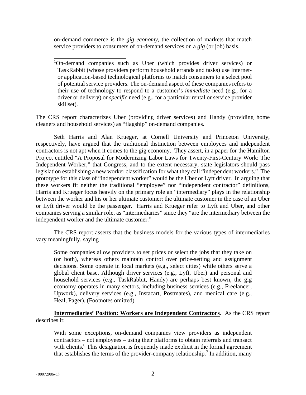on-demand commerce is the *gig economy*, the collection of markets that match service providers to consumers of on-demand services on a *gig* (or job) basis.

\_\_\_\_\_\_\_\_\_\_\_\_\_\_\_\_\_\_\_\_\_\_\_\_

The CRS report characterizes Uber (providing driver services) and Handy (providing home cleaners and household services) as "flagship" on-demand companies.

Seth Harris and Alan Krueger, at Cornell University and Princeton University, respectively, have argued that the traditional distinction between employees and independent contractors is not apt when it comes to the gig economy. They assert, in a paper for the Hamilton Project entitled "A Proposal for Modernizing Labor Laws for Twenty-First-Century Work: The Independent Worker," that Congress, and to the extent necessary, state legislators should pass legislation establishing a new worker classification for what they call "independent workers." The prototype for this class of "independent worker" would be the Uber or Lyft driver. In arguing that these workers fit neither the traditional "employee" nor "independent contractor" definitions, Harris and Krueger focus heavily on the primary role an "intermediary" plays in the relationship between the worker and his or her ultimate customer; the ultimate customer in the case of an Uber or Lyft driver would be the passenger. Harris and Krueger refer to Lyft and Uber, and other companies serving a similar role, as "intermediaries" since they "are the intermediary between the independent worker and the ultimate customer."

The CRS report asserts that the business models for the various types of intermediaries vary meaningfully, saying

Some companies allow providers to set prices or select the jobs that they take on (or both), whereas others maintain control over price-setting and assignment decisions. Some operate in local markets (e.g., select cities) while others serve a global client base. Although driver services (e.g., Lyft, Uber) and personal and household services (e.g., TaskRabbit, Handy) are perhaps best known, the gig economy operates in many sectors, including business services (e.g., Freelancer, Upwork), delivery services (e.g., Instacart, Postmates), and medical care (e.g., Heal, Pager). (Footnotes omitted)

**Intermediaries' Position: Workers are Independent Contractors**. As the CRS report describes it:

With some exceptions, on-demand companies view providers as independent contractors – not employees – using their platforms to obtain referrals and transact with clients.<sup>6</sup> This designation is frequently made explicit in the formal agreement that establishes the terms of the provider-company relationship.<sup>7</sup> In addition, many

<sup>&</sup>lt;sup>1</sup>On-demand companies such as Uber (which provides driver services) or TaskRabbit (whose providers perform household errands and tasks) use Internetor application-based technological platforms to match consumers to a select pool of potential service providers. The on-demand aspect of these companies refers to their use of technology to respond to a customer's *immediate* need (e.g., for a driver or delivery) or *specific* need (e.g., for a particular rental or service provider skillset).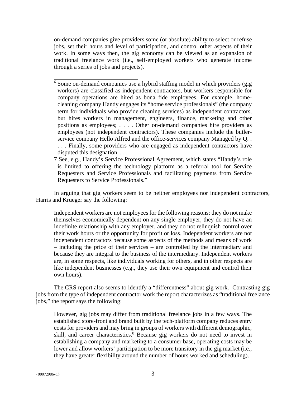on-demand companies give providers some (or absolute) ability to select or refuse jobs, set their hours and level of participation, and control other aspects of their work. In some ways then, the gig economy can be viewed as an expansion of traditional freelance work (i.e., self-employed workers who generate income through a series of jobs and projects).

\_\_\_\_\_\_\_\_\_\_\_\_\_\_\_\_\_\_\_\_\_\_\_\_\_\_\_\_

- <sup>6</sup> Some on-demand companies use a hybrid staffing model in which providers (gig workers) are classified as independent contractors, but workers responsible for company operations are hired as bona fide employees. For example, homecleaning company Handy engages its "home service professionals" (the company term for individuals who provide cleaning services) as independent contractors, but hires workers in management, engineers, finance, marketing and other positions as employees; . . . . Other on-demand companies hire providers as employees (not independent contractors). These companies include the butlerservice company Hello Alfred and the office-services company Managed by Q. . . . . Finally, some providers who are engaged as independent contractors have disputed this designation. . . .
- 7 See, e.g., Handy's Service Professional Agreement, which states "Handy's role is limited to offering the technology platform as a referral tool for Service Requesters and Service Professionals and facilitating payments from Service Requesters to Service Professionals."

In arguing that gig workers seem to be neither employees nor independent contractors, Harris and Krueger say the following:

Independent workers are not employees for the following reasons: they do not make themselves economically dependent on any single employer, they do not have an indefinite relationship with any employer, and they do not relinquish control over their work hours or the opportunity for profit or loss. Independent workers are not independent contractors because some aspects of the methods and means of work – including the price of their services – are controlled by the intermediary and because they are integral to the business of the intermediary. Independent workers are, in some respects, like individuals working for others, and in other respects are like independent businesses (e.g., they use their own equipment and control their own hours).

The CRS report also seems to identify a "differentness" about gig work. Contrasting gig jobs from the type of independent contractor work the report characterizes as "traditional freelance jobs," the report says the following:

However, gig jobs may differ from traditional freelance jobs in a few ways. The established store-front and brand built by the tech-platform company reduces entry costs for providers and may bring in groups of workers with different demographic, skill, and career characteristics.<sup>8</sup> Because gig workers do not need to invest in establishing a company and marketing to a consumer base, operating costs may be lower and allow workers' participation to be more transitory in the gig market (i.e., they have greater flexibility around the number of hours worked and scheduling).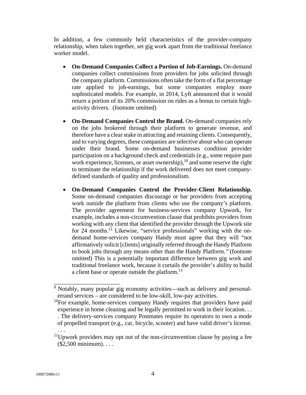In addition, a few commonly held characteristics of the provider-company relationship, when taken together, set gig work apart from the traditional freelance worker model.

- **On-Demand Companies Collect a Portion of Job-Earnings.** On-demand companies collect commissions from providers for jobs solicited through the company platform. Commissions often take the form of a flat percentage rate applied to job-earnings, but some companies employ more sophisticated models. For example, in 2014, Lyft announced that it would return a portion of its 20% commission on rides as a bonus to certain highactivity drivers. (footnote omitted)
- **On-Demand Companies Control the Brand.** On-demand companies rely on the jobs brokered through their platform to generate revenue, and therefore have a clear stake in attracting and retaining clients. Consequently, and to varying degrees, these companies are selective about who can operate under their brand. Some on-demand businesses condition provider participation on a background check and credentials (e.g., some require past work experience, licenses, or asset ownership),  $^{10}$  and some reserve the right to terminate the relationship if the work delivered does not meet companydefined standards of quality and professionalism.
- **On-Demand Companies Control the Provider-Client Relationship.**  Some on-demand companies discourage or bar providers from accepting work outside the platform from clients who use the company's platform. The provider agreement for business-services company Upwork, for example, includes a non-circumvention clause that prohibits providers from working with any client that identified the provider through the Upwork site for 24 months.<sup>11</sup> Likewise, "service professionals" working with the ondemand home-services company Handy must agree that they will "not affirmatively solicit [clients] originally referred through the Handy Platform to book jobs through any means other than the Handy Platform.*"* (footnote omitted) This is a potentially important difference between gig work and traditional freelance work, because it curtails the provider's ability to build a client base or operate outside the platform.<sup>13</sup>

 $10$ For example, home-services company Handy requires that providers have paid experience in home cleaning and be legally permitted to work in their location. . . . The delivery-services company Postmates require its operators to own a mode of propelled transport (e.g., car, bicycle, scooter) and have valid driver's license.

. . .

\_\_\_\_\_\_\_\_\_\_\_\_\_\_\_\_\_\_\_\_\_\_

<sup>&</sup>lt;sup>8</sup> Notably, many popular gig economy activities—such as delivery and personalerrand services – are considered to be low-skill, low-pay activities.

 $11$ Upwork providers may opt out of the non-circumvention clause by paying a fee (\$2,500 minimum). . . .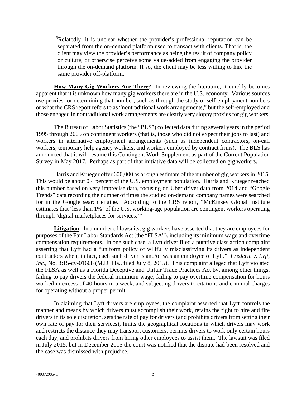<sup>13</sup>Relatedly, it is unclear whether the provider's professional reputation can be separated from the on-demand platform used to transact with clients. That is, the client may view the provider's performance as being the result of company policy or culture, or otherwise perceive some value-added from engaging the provider through the on-demand platform. If so, the client may be less willing to hire the same provider off-platform.

**How Many Gig Workers Are There**? In reviewing the literature, it quickly becomes apparent that it is unknown how many gig workers there are in the U.S. economy. Various sources use proxies for determining that number, such as through the study of self-employment numbers or what the CRS report refers to as "nontraditional work arrangements," but the self-employed and those engaged in nontraditional work arrangements are clearly very sloppy proxies for gig workers.

The Bureau of Labor Statistics (the "BLS") collected data during several years in the period 1995 through 2005 on contingent workers (that is, those who did not expect their jobs to last) and workers in alternative employment arrangements (such as independent contractors, on-call workers, temporary help agency workers, and workers employed by contract firms). The BLS has announced that it will resume this Contingent Work Supplement as part of the Current Population Survey in May 2017. Perhaps as part of that initiative data will be collected on gig workers.

Harris and Krueger offer 600,000 as a rough estimate of the number of gig workers in 2015. This would be about 0.4 percent of the U.S. employment population. Harris and Krueger reached this number based on very imprecise data, focusing on Uber driver data from 2014 and "Google Trends" data recording the number of times the studied on-demand company names were searched for in the Google search engine. According to the CRS report, "McKinsey Global Institute estimates that 'less than 1%' of the U.S. working-age population are contingent workers operating through 'digital marketplaces for services.'"

Litigation. In a number of lawsuits, gig workers have asserted that they are employees for purposes of the Fair Labor Standards Act (the "FLSA"), including its minimum wage and overtime compensation requirements. In one such case, a Lyft driver filed a putative class action complaint asserting that Lyft had a "uniform policy of willfully misclassifying its drivers as independent contractors when, in fact, each such driver is and/or was an employee of Lyft." *Frederic v. Lyft, Inc.*, No. 8:15-cv-01608 (M.D. Fla., filed July 8, 2015). This complaint alleged that Lyft violated the FLSA as well as a Florida Deceptive and Unfair Trade Practices Act by, among other things, failing to pay drivers the federal minimum wage, failing to pay overtime compensation for hours worked in excess of 40 hours in a week, and subjecting drivers to citations and criminal charges for operating without a proper permit.

In claiming that Lyft drivers are employees, the complaint asserted that Lyft controls the manner and means by which drivers must accomplish their work, retains the right to hire and fire drivers in its sole discretion, sets the rate of pay for drivers (and prohibits drivers from setting their own rate of pay for their services), limits the geographical locations in which drivers may work and restricts the distance they may transport customers, permits drivers to work only certain hours each day, and prohibits drivers from hiring other employees to assist them. The lawsuit was filed in July 2015, but in December 2015 the court was notified that the dispute had been resolved and the case was dismissed with prejudice.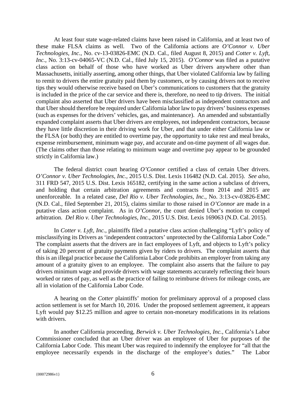At least four state wage-related claims have been raised in California, and at least two of these make FLSA claims as well. Two of the California actions are *O'Connor v. Uber Technologies, Inc.*, No. cv-13-03826-EMC (N.D. Cal., filed August 8, 2015) and *Cotter v. Lyft, Inc.*, No. 3:13-cv-04065-VC (N.D. Cal., filed July 15, 2015). *O'Connor* was filed as a putative class action on behalf of those who have worked as Uber drivers anywhere other than Massachusetts, initially asserting, among other things, that Uber violated California law by failing to remit to drivers the entire gratuity paid them by customers, or by causing drivers not to receive tips they would otherwise receive based on Uber's communications to customers that the gratuity is included in the price of the car service and there is, therefore, no need to tip drivers. The initial complaint also asserted that Uber drivers have been misclassified as independent contractors and that Uber should therefore be required under California labor law to pay drivers' business expenses (such as expenses for the drivers' vehicles, gas, and maintenance). An amended and substantially expanded complaint asserts that Uber drivers are employees, not independent contractors, because they have little discretion in their driving work for Uber, and that under either California law or the FLSA (or both) they are entitled to overtime pay, the opportunity to take rest and meal breaks, expense reimbursement, minimum wage pay, and accurate and on-time payment of all wages due. (The claims other than those relating to minimum wage and overtime pay appear to be grounded strictly in California law.)

The federal district court hearing *O'Connor* certified a class of certain Uber drivers. *O'Connor v. Uber Technologies, Inc.,* 2015 U.S. Dist. Lexis 116482 (N.D. Cal. 2015). *See also,*  311 FRD 547, 2015 U.S. Dist. Lexis 165182, certifying in the same action a subclass of drivers, and holding that certain arbitration agreements and contracts from 2014 and 2015 are unenforceable. In a related case, *Del Rio v. Uber Technologies, Inc.*, No. 3:13-cv-03826-EMC (N.D. Cal., filed September 21, 2015), claims similar to those raised in *O'Connor* are made in a putative class action complaint. As in *O'Connor*, the court denied Uber's motion to compel arbitration. *Del Rio v. Uber Technologies, Inc.*, 2015 U.S. Dist. Lexis 169063 (N.D. Cal. 2015).

In *Cotter v. Lyft, Inc.*, plaintiffs filed a putative class action challenging "Lyft's policy of misclassifying its Drivers as 'independent contractors' unprotected by the California Labor Code." The complaint asserts that the drivers are in fact employees of Lyft, and objects to Lyft's policy of taking 20 percent of gratuity payments given by riders to drivers. The complaint asserts that this is an illegal practice because the California Labor Code prohibits an employer from taking any amount of a gratuity given to an employee. The complaint also asserts that the failure to pay drivers minimum wage and provide drivers with wage statements accurately reflecting their hours worked or rates of pay, as well as the practice of failing to reimburse drivers for mileage costs, are all in violation of the California Labor Code.

A hearing on the *Cotter* plaintiffs' motion for preliminary approval of a proposed class action settlement is set for March 10, 2016. Under the proposed settlement agreement, it appears Lyft would pay \$12.25 million and agree to certain non-monetary modifications in its relations with drivers.

In another California proceeding, *Berwick v. Uber Technologies, Inc.*, California's Labor Commissioner concluded that an Uber driver was an employee of Uber for purposes of the California Labor Code. This meant Uber was required to indemnify the employee for "all that the employee necessarily expends in the discharge of the employee's duties." The Labor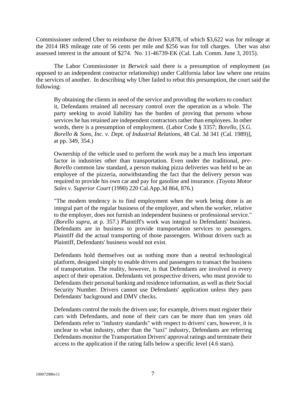Commissioner ordered Uber to reimburse the driver \$3,878, of which \$3,622 was for mileage at the 2014 IRS mileage rate of 56 cents per mile and \$256 was for toll charges. Uber was also assessed interest in the amount of \$274. No. 11-46739-EK (Cal. Lab. Comm. June 3, 2015).

The Labor Commissioner in *Berwick* said there is a presumption of employment (as opposed to an independent contractor relationship) under California labor law where one retains the services of another. In describing why Uber failed to rebut this presumption, the court said the following:

By obtaining the clients in need of the service and providing the workers to conduct it, Defendants retained all necessary control over the operation as a whole. The party seeking to avoid liability has the burden of proving that persons whose services he has retained are independent contractors rather than employees. In other words, there is a presumption of employment. (Labor Code § 3357; *Borello,* [*S.G. Borello & Sons, Inc. v. Dept. of Industrial Relations*, 48 Cal. 3d 341 (Cal. 1989)]*,*  at pp. 349, 354.)

Ownership of the vehicle used to perform the work may be a much less important factor in industries other than transportation. Even under the traditional, *pre-Borello* common law standard, a person making pizza deliveries was held to be an employee of the pizzeria, notwithstanding the fact that the delivery person was required to provide his own car and pay for gasoline and insurance. *(Toyota Motor Sales v. Superior Court* (1990) 220 Cal.App.3d 864, 876.)

"The modem tendency is to find employment when the work being done is an integral part of the regular business of the employer, and when the worker, relative to the employer, does not furnish an independent business or professional service." *(Borello supra,* at p. 357.) Plaintiff's work was integral to Defendants' business. Defendants are in business to provide transportation services to passengers. Plaintiff did the actual transporting of those passengers. Without drivers such as Plaintiff, Defendants' business would not exist.

Defendants hold themselves out as nothing more than a neutral technological platform, designed simply to enable drivers and passengers to transact the business of transportation. The reality, however, is that Defendants are involved in every aspect of their operation. Defendants vet prospective drivers, who must provide to Defendants their personal banking and residence information, as well as their Social Security Number. Drivers cannot use Defendants' application unless they pass Defendants' background and DMV checks.

Defendants control the tools the drivers use; for example, drivers must register their cars with Defendants, and none of their cars can be more than ten years old Defendants refer to "industry standards" with respect to drivers' cars, however, it is unclear to what industry, other than the "taxi" industry, Defendants are referring Defendants monitor the Transportation Drivers' approval ratings and terminate their access to the application if the rating falls below a specific level (4.6 stars).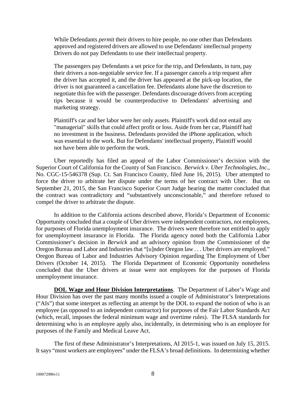While Defendants *permit* their drivers to hire people, no one other than Defendants approved and registered drivers are allowed to use Defendants' intellectual property Drivers do not pay Defendants to use their intellectual property.

The passengers pay Defendants a set price for the trip, and Defendants, in turn, pay their drivers a non-negotiable service fee. If a passenger cancels a trip request after the driver has accepted it, and the driver has appeared at the pick-up location, the driver is not guaranteed a cancellation fee. Defendants alone have the discretion to negotiate this fee with the passenger. Defendants discourage drivers from accepting tips because it would be counterproductive to Defendants' advertising and marketing strategy.

Plaintiff's car and her labor were her only assets. Plaintiff's work did not entail any "managerial" skills that could affect profit or loss. Aside from her car, Plaintiff had no investment in the business. Defendants provided the iPhone application, which was essential to the work. But for Defendants' intellectual property, Plaintiff would not have been able to perform the work.

Uber reportedly has filed an appeal of the Labor Commissioner's decision with the Superior Court of California for the County of San Francisco. *Berwick v. Uber Technologies, Inc.*, No. CGC-15-546378 (Sup. Ct. San Francisco County, filed June 16, 2015). Uber attempted to force the driver to arbitrate her dispute under the terms of her contract with Uber. But on September 21, 2015, the San Francisco Superior Court Judge hearing the matter concluded that the contract was contradictory and "substantively unconscionable," and therefore refused to compel the driver to arbitrate the dispute.

In addition to the California actions described above, Florida's Department of Economic Opportunity concluded that a couple of Uber drivers were independent contractors, not employees, for purposes of Florida unemployment insurance. The drivers were therefore not entitled to apply for unemployment insurance in Florida. The Florida agency noted both the California Labor Commissioner's decision in *Berwick* and an advisory opinion from the Commissioner of the Oregon Bureau and Labor and Industries that "[u]nder Oregon law . . . Uber drivers are employed." Oregon Bureau of Labor and Industries Advisory Opinion regarding The Employment of Uber Drivers (October 14, 2015). The Florida Department of Economic Opportunity nonetheless concluded that the Uber drivers at issue were not employees for the purposes of Florida unemployment insurance.

**DOL Wage and Hour Division Interpretations**. The Department of Labor's Wage and Hour Division has over the past many months issued a couple of Administrator's Interpretations ("AIs") that some interpret as reflecting an attempt by the DOL to expand the notion of who is an employee (as opposed to an independent contractor) for purposes of the Fair Labor Standards Act (which, recall, imposes the federal minimum wage and overtime rules). The FLSA standards for determining who is an employee apply also, incidentally, in determining who is an employee for purposes of the Family and Medical Leave Act.

The first of these Administrator's Interpretations, AI 2015-1, was issued on July 15, 2015. It says "most workers are employees" under the FLSA's broad definitions. In determining whether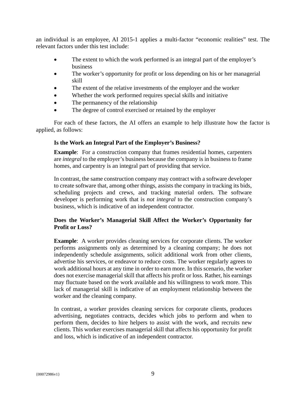an individual is an employee, AI 2015-1 applies a multi-factor "economic realities" test. The relevant factors under this test include:

- The extent to which the work performed is an integral part of the employer's business
- The worker's opportunity for profit or loss depending on his or her managerial skill
- The extent of the relative investments of the employer and the worker
- Whether the work performed requires special skills and initiative
- The permanency of the relationship
- The degree of control exercised or retained by the employer

For each of these factors, the AI offers an example to help illustrate how the factor is applied, as follows:

## **Is the Work an Integral Part of the Employer's Business?**

**Example:** For a construction company that frames residential homes, carpenters are *integral* to the employer's business because the company is in business to frame homes, and carpentry is an integral part of providing that service.

In contrast, the same construction company may contract with a software developer to create software that, among other things, assists the company in tracking its bids, scheduling projects and crews, and tracking material orders. The software developer is performing work that is *not integral* to the construction company's business, which is indicative of an independent contractor.

# **Does the Worker's Managerial Skill Affect the Worker's Opportunity for Profit or Loss?**

**Example**: A worker provides cleaning services for corporate clients. The worker performs assignments only as determined by a cleaning company; he does not independently schedule assignments, solicit additional work from other clients, advertise his services, or endeavor to reduce costs. The worker regularly agrees to work additional hours at any time in order to earn more. In this scenario, the worker does not exercise managerial skill that affects his profit or loss. Rather, his earnings may fluctuate based on the work available and his willingness to work more. This lack of managerial skill is indicative of an employment relationship between the worker and the cleaning company.

In contrast, a worker provides cleaning services for corporate clients, produces advertising, negotiates contracts, decides which jobs to perform and when to perform them, decides to hire helpers to assist with the work, and recruits new clients. This worker exercises managerial skill that affects his opportunity for profit and loss, which is indicative of an independent contractor.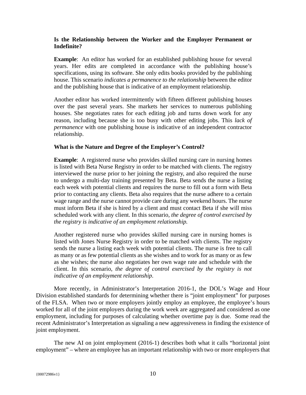## **Is the Relationship between the Worker and the Employer Permanent or Indefinite?**

**Example**: An editor has worked for an established publishing house for several years. Her edits are completed in accordance with the publishing house's specifications, using its software. She only edits books provided by the publishing house. This scenario *indicates a permanence to the relationship* between the editor and the publishing house that is indicative of an employment relationship.

Another editor has worked intermittently with fifteen different publishing houses over the past several years. She markets her services to numerous publishing houses. She negotiates rates for each editing job and turns down work for any reason, including because she is too busy with other editing jobs. This *lack of permanence* with one publishing house is indicative of an independent contractor relationship.

#### **What is the Nature and Degree of the Employer's Control?**

**Example**: A registered nurse who provides skilled nursing care in nursing homes is listed with Beta Nurse Registry in order to be matched with clients. The registry interviewed the nurse prior to her joining the registry, and also required the nurse to undergo a multi-day training presented by Beta. Beta sends the nurse a listing each week with potential clients and requires the nurse to fill out a form with Beta prior to contacting any clients. Beta also requires that the nurse adhere to a certain wage range and the nurse cannot provide care during any weekend hours. The nurse must inform Beta if she is hired by a client and must contact Beta if she will miss scheduled work with any client. In this scenario, *the degree of control exercised by the registry is indicative of an employment relationship.*

Another registered nurse who provides skilled nursing care in nursing homes is listed with Jones Nurse Registry in order to be matched with clients. The registry sends the nurse a listing each week with potential clients. The nurse is free to call as many or as few potential clients as she wishes and to work for as many or as few as she wishes; the nurse also negotiates her own wage rate and schedule with the client. In this scenario, *the degree of control exercised by the registry is not indicative of an employment relationship*.

More recently, in Administrator's Interpretation 2016-1, the DOL's Wage and Hour Division established standards for determining whether there is "joint employment" for purposes of the FLSA. When two or more employers jointly employ an employee, the employee's hours worked for all of the joint employers during the work week are aggregated and considered as one employment, including for purposes of calculating whether overtime pay is due. Some read the recent Administrator's Interpretation as signaling a new aggressiveness in finding the existence of joint employment.

The new AI on joint employment (2016-1) describes both what it calls "horizontal joint employment" – where an employee has an important relationship with two or more employers that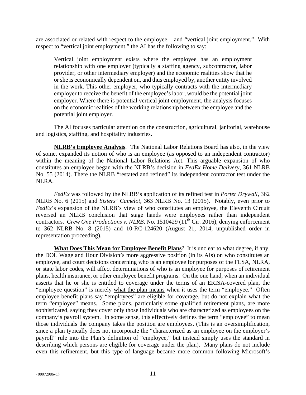are associated or related with respect to the employee – and "vertical joint employment." With respect to "vertical joint employment," the AI has the following to say:

Vertical joint employment exists where the employee has an employment relationship with one employer (typically a staffing agency, subcontractor, labor provider, or other intermediary employer) and the economic realities show that he or she is economically dependent on, and thus employed by, another entity involved in the work. This other employer, who typically contracts with the intermediary employer to receive the benefit of the employee's labor, would be the potential joint employer. Where there is potential vertical joint employment, the analysis focuses on the economic realities of the working relationship between the employee and the potential joint employer.

The AI focuses particular attention on the construction, agricultural, janitorial, warehouse and logistics, staffing, and hospitality industries.

**NLRB's Employee Analysis**. The National Labor Relations Board has also, in the view of some, expanded its notion of who is an employee (as opposed to an independent contractor) within the meaning of the National Labor Relations Act. This arguable expansion of who constitutes an employee began with the NLRB's decision in *FedEx Home Delivery*, 361 NLRB No. 55 (2014). There the NLRB "restated and refined" its independent contractor test under the NLRA.

*FedEx* was followed by the NLRB's application of its refined test in *Porter Drywall*, 362 NLRB No. 6 (2015) and *Sisters' Camelot*, 363 NLRB No. 13 (2015). Notably, even prior to *FedEx*'s expansion of the NLRB's view of who constitutes an employee, the Eleventh Circuit reversed an NLRB conclusion that stage hands were employees rather than independent contractors. *Crew One Productions v. NLRB*, No. 1510429 (11<sup>th</sup> Cir. 2016), denying enforcement to 362 NLRB No. 8 (2015) and 10-RC-124620 (August 21, 2014, unpublished order in representation proceeding).

**What Does This Mean for Employee Benefit Plans**? It is unclear to what degree, if any, the DOL Wage and Hour Division's more aggressive position (in its AIs) on who constitutes an employee, and court decisions concerning who is an employee for purposes of the FLSA, NLRA, or state labor codes, will affect determinations of who is an employee for purposes of retirement plans, health insurance, or other employee benefit programs. On the one hand, when an individual asserts that he or she is entitled to coverage under the terms of an ERISA-covered plan, the "employee question" is merely what the plan means when it uses the term "employee." Often employee benefit plans say "employees" are eligible for coverage, but do not explain what the term "employee" means. Some plans, particularly some qualified retirement plans, are more sophisticated, saying they cover only those individuals who are characterized as employees on the company's payroll system. In some sense, this effectively defines the term "employee" to mean those individuals the company takes the position are employees. (This is an oversimplification, since a plan typically does not incorporate the "characterized as an employee on the employer's payroll" rule into the Plan's definition of "employee," but instead simply uses the standard in describing which persons are eligible for coverage under the plan). Many plans do not include even this refinement, but this type of language became more common following Microsoft's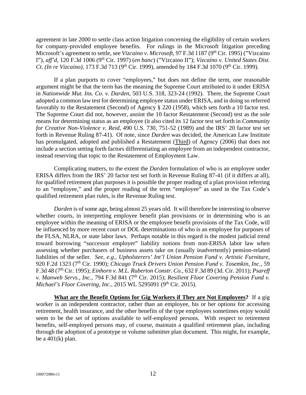agreement in late 2000 to settle class action litigation concerning the eligibility of certain workers for company-provided employee benefits. For rulings in the Microsoft litigation preceding Microsoft's agreement to settle, see *Vizcaino v. Microsoft*, 97 F.3d 1187 (9<sup>th</sup> Cir. 1995) ("Vizcaino" I"), *aff'd*, 120 F.3d 1006 (9<sup>th</sup> Cir. 1997) (*en banc*) ("Vizcaino II"); *Vizcaino v. United States Dist. Ct. (In re Vizcaino)*, 173 F.3d 713 (9<sup>th</sup> Cir. 1999), amended by 184 F.3d 1070 (9<sup>th</sup> Cir. 1999).

If a plan purports to cover "employees," but does not define the term, one reasonable argument might be that the term has the meaning the Supreme Court attributed to it under ERISA in *Nationwide Mut. Ins. Co. v. Darden*, 503 U.S. 318, 323-24 (1992). There, the Supreme Court adopted a common law test for determining employee status under ERISA, and in doing so referred favorably to the Restatement (Second) of Agency § 220 (1958), which sets forth a 10 factor test. The Supreme Court did not, however, anoint the 10 factor Restatement (Second) test as the sole means for determining status as an employee (it also cited its 12 factor test set forth in *Community for Creative Non-Violence v. Reid*, 490 U.S. 730, 751-52 (1989) and the IRS' 20 factor test set forth in Revenue Ruling 87-41). Of note, since *Darden* was decided, the American Law Institute has promulgated, adopted and published a Restatement (Third) of Agency (2006) that does not include a section setting forth factors differentiating an employee from an independent contractor, instead reserving that topic to the Restatement of Employment Law.

Complicating matters, to the extent the *Darden* formulation of who is an employee under ERISA differs from the IRS' 20 factor test set forth in Revenue Ruling 87-41 (if it differs at all), for qualified retirement plan purposes it is possible the proper reading of a plan provision referring to an "employee," and the proper reading of the term "employee" as used in the Tax Code's qualified retirement plan rules, is the Revenue Ruling test.

*Darden* is of some age, being almost 25 years old. It will therefore be interesting to observe whether courts, in interpreting employee benefit plan provisions or in determining who is an employee within the meaning of ERISA or the employee benefit provisions of the Tax Code, will be influenced by more recent court or DOL determinations of who is an employee for purposes of the FLSA, NLRA, or state labor laws. Perhaps notable in this regard is the modest judicial trend toward borrowing "successor employer" liability notions from non-ERISA labor law when assessing whether purchasers of business assets take on (usually inadvertently) pension-related liabilities of the seller. *See, e.g., Upholsterers' Int'l Union Pension Fund v. Artistic Furniture*, 920 F.2d 1323 (7th Cir. 1990); *Chicago Truck Drivers Union Pension Fund v. Tosemkin, Inc.*, 59 F.3d 48 (7th Cir. 1995); *Einhorn v. M.L. Ruberton Constr. Co.*, 632 F.3d 89 (3d. Cir. 2011); *Psareff v. Manweb Servs., Inc., 794 F.3d 841 (7<sup>th</sup> Cir. 2015); Resilient Floor Covering Pension Fund v. Michael's Floor Covering, Inc., 2015 WL 5295091 (9th Cir. 2015).* 

**What are the Benefit Options for Gig Workers if They are Not Employees?** If a gig worker is an independent contractor, rather than an employee, his or her options for accessing retirement, health insurance, and the other benefits of the type employees sometimes enjoy would seem to be the set of options available to self-employed persons. With respect to retirement benefits, self-employed persons may, of course, maintain a qualified retirement plan, including through the adoption of a prototype or volume submitter plan document. This might, for example, be a  $401(k)$  plan.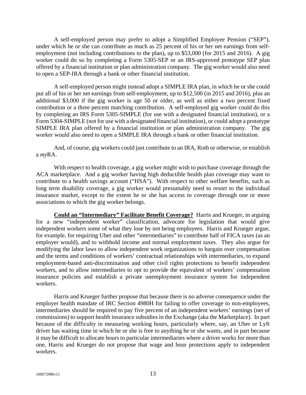A self-employed person may prefer to adopt a Simplified Employee Pension ("SEP"), under which he or she can contribute as much as 25 percent of his or her net earnings from selfemployment (not including contributions to the plan), up to \$53,000 (for 2015 and 2016). A gig worker could do so by completing a Form 5305-SEP or an IRS-approved prototype SEP plan offered by a financial institution or plan administration company. The gig worker would also need to open a SEP-IRA through a bank or other financial institution.

A self-employed person might instead adopt a SIMPLE IRA plan, in which he or she could put all of his or her net earnings from self-employment, up to \$12,500 (in 2015 and 2016), plus an additional \$3,000 if the gig worker is age 50 or older, as well as either a two percent fixed contribution or a three percent matching contribution. A self-employed gig worker could do this by completing an IRS Form 5305-SIMPLE (for use with a designated financial institution), or a Form 5304-SIMPLE (not for use with a designated financial institution), or could adopt a prototype SIMPLE IRA plan offered by a financial institution or plan administration company. The gig worker would also need to open a SIMPLE IRA through a bank or other financial institution.

And, of course, gig workers could just contribute to an IRA, Roth or otherwise, or establish a *my*RA.

With respect to health coverage, a gig worker might wish to purchase coverage through the ACA marketplace. And a gig worker having high deductible health plan coverage may want to contribute to a health savings account ("HSA"). With respect to other welfare benefits, such as long term disability coverage, a gig worker would presumably need to resort to the individual insurance market, except to the extent he or she has access to coverage through one or more associations to which the gig worker belongs.

**Could an "Intermediary" Facilitate Benefit Coverage?** Harris and Krueger, in arguing for a new "independent worker" classification, advocate for legislation that would give independent workers some of what they lose by not being employees. Harris and Krueger argue, for example, for requiring Uber and other "intermediaries" to contribute half of FICA taxes (as an employer would), and to withhold income and normal employment taxes. They also argue for modifying the labor laws to allow independent work organizations to bargain over compensation and the terms and conditions of workers' contractual relationships with intermediaries, to expand employment-based anti-discrimination and other civil rights protections to benefit independent workers, and to allow intermediaries to opt to provide the equivalent of workers' compensation insurance policies and establish a private unemployment insurance system for independent workers.

Harris and Krueger further propose that because there is no adverse consequence under the employer health mandate of IRC Section 4980H for failing to offer coverage to non-employees, intermediaries should be required to pay five percent of an independent workers' earnings (net of commissions) to support health insurance subsidies in the Exchange (aka the Marketplace). In part because of the difficulty in measuring working hours, particularly where, say, an Uber or Lyft driver has waiting time in which he or she is free to anything he or she wants, and in part because it may be difficult to allocate hours to particular intermediaries where a driver works for more than one, Harris and Krueger do not propose that wage and hour protections apply to independent workers.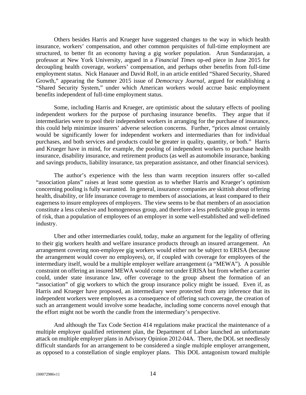Others besides Harris and Krueger have suggested changes to the way in which health insurance, workers' compensation, and other common perquisites of full-time employment are structured, to better fit an economy having a gig worker population. Arun Sundararajan, a professor at New York University, argued in a *Financial Times* op-ed piece in June 2015 for decoupling health coverage, workers' compensation, and perhaps other benefits from full-time employment status. Nick Hanauer and David Rolf, in an article entitled "Shared Security, Shared Growth," appearing the Summer 2015 issue of *Democracy Journal*, argued for establishing a "Shared Security System," under which American workers would accrue basic employment benefits independent of full-time employment status.

Some, including Harris and Krueger, are optimistic about the salutary effects of pooling independent workers for the purpose of purchasing insurance benefits. They argue that if intermediaries were to pool their independent workers in arranging for the purchase of insurance, this could help minimize insurers' adverse selection concerns. Further, "prices almost certainly would be significantly lower for independent workers and intermediaries than for individual purchases, and both services and products could be greater in quality, quantity, or both." Harris and Krueger have in mind, for example, the pooling of independent workers to purchase health insurance, disability insurance, and retirement products (as well as automobile insurance, banking and savings products, liability insurance, tax preparation assistance, and other financial services).

The author's experience with the less than warm reception insurers offer so-called "association plans" raises at least some question as to whether Harris and Krueger's optimism concerning pooling is fully warranted. In general, insurance companies are skittish about offering health, disability, or life insurance coverage to members of associations, at least compared to their eagerness to insure employees of employers. The view seems to be that members of an association constitute a less cohesive and homogeneous group, and therefore a less predictable group in terms of risk, than a population of employees of an employer in some well-established and well-defined industry.

Uber and other intermediaries could, today, make an argument for the legality of offering to their gig workers health and welfare insurance products through an insured arrangement. An arrangement covering non-employee gig workers would either not be subject to ERISA (because the arrangement would cover no employees), or, if coupled with coverage for employees of the intermediary itself, would be a multiple employer welfare arrangement (a "MEWA"). A possible constraint on offering an insured MEWA would come not under ERISA but from whether a carrier could, under state insurance law, offer coverage to the group absent the formation of an "association" of gig workers to which the group insurance policy might be issued. Even if, as Harris and Krueger have proposed, an intermediary were protected from any inference that its independent workers were employees as a consequence of offering such coverage, the creation of such an arrangement would involve some headache, including some concerns novel enough that the effort might not be worth the candle from the intermediary's perspective.

And although the Tax Code Section 414 regulations make practical the maintenance of a multiple employer qualified retirement plan, the Department of Labor launched an unfortunate attack on multiple employer plans in Advisory Opinion 2012-04A. There, the DOL set needlessly difficult standards for an arrangement to be considered a single multiple employer arrangement, as opposed to a constellation of single employer plans. This DOL antagonism toward multiple